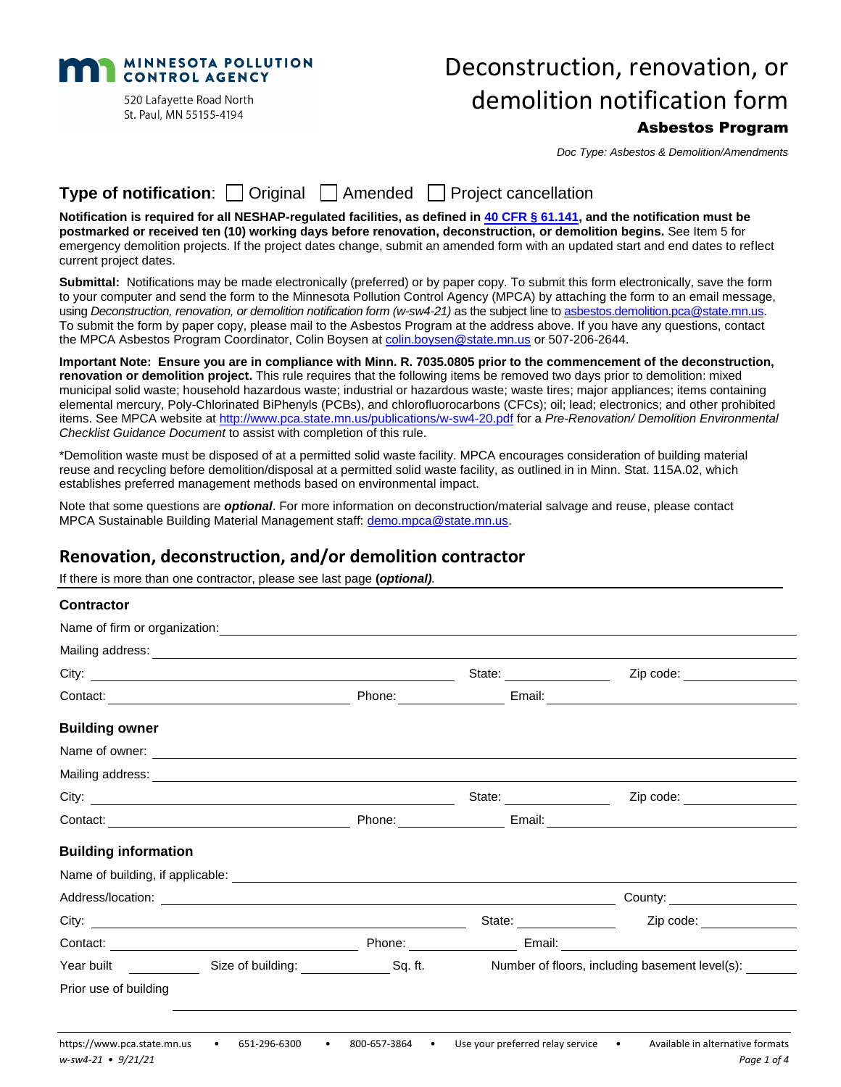**MINNESOTA POLLUTION CONTROL AGENCY** 520 Lafayette Road North

St. Paul, MN 55155-4194

# Deconstruction, renovation, or demolition notification form

## Asbestos Program

*Doc Type: Asbestos & Demolition/Amendments*

## **Type of notification**: Original Amended Project cancellation

**Notification is required for all NESHAP-regulated facilities, as defined in [40 CFR §](https://www.ecfr.gov/cgi-bin/text-idx?SID=62655fc6c4cfea5552c3e0b3e6485591&mc=true&node=se40.10.61_1141&rgn=div8) 61.141, and the notification must be postmarked or received ten (10) working days before renovation, deconstruction, or demolition begins.** See Item 5 for emergency demolition projects. If the project dates change, submit an amended form with an updated start and end dates to reflect current project dates.

**Submittal:** Notifications may be made electronically (preferred) or by paper copy. To submit this form electronically, save the form to your computer and send the form to the Minnesota Pollution Control Agency (MPCA) by attaching the form to an email message, using *Deconstruction, renovation, or demolition notification form (w-sw4-21)* as the subject line to [asbestos.demolition.pca@state.mn.us.](mailto:asbestos.demolition.pca@state.mn.us) To submit the form by paper copy, please mail to the Asbestos Program at the address above. If you have any questions, contact the MPCA Asbestos Program Coordinator, Colin Boysen at [colin.boysen@state.mn.us](mailto:colin.boysen@state.mn.us) or 507-206-2644.

**Important Note: Ensure you are in compliance with Minn. R. 7035.0805 prior to the commencement of the deconstruction, renovation or demolition project.** This rule requires that the following items be removed two days prior to demolition: mixed municipal solid waste; household hazardous waste; industrial or hazardous waste; waste tires; major appliances; items containing elemental mercury, Poly-Chlorinated BiPhenyls (PCBs), and chlorofluorocarbons (CFCs); oil; lead; electronics; and other prohibited items. See MPCA website a[t http://www.pca.state.mn.us/publications/w-sw4-20.pdf](http://www.pca.state.mn.us/publications/w-sw4-20.pdf) for a *Pre-Renovation/ Demolition Environmental Checklist Guidance Document* to assist with completion of this rule.

\*Demolition waste must be disposed of at a permitted solid waste facility. MPCA encourages consideration of building material reuse and recycling before demolition/disposal at a permitted solid waste facility, as outlined in in Minn. Stat. 115A.02, which establishes preferred management methods based on environmental impact.

Note that some questions are *optional*. For more information on deconstruction/material salvage and reuse, please contact MPCA Sustainable Building Material Management staff: [demo.mpca@state.mn.us.](mailto:demo.mpca@state.mn.us)

## **Renovation, deconstruction, and/or demolition contractor**

If there is more than one contractor, please see last page **(***optional).*

| <b>Contractor</b>           |                                                                                                                                                                                                                                      |  |                                      |                                                |
|-----------------------------|--------------------------------------------------------------------------------------------------------------------------------------------------------------------------------------------------------------------------------------|--|--------------------------------------|------------------------------------------------|
|                             |                                                                                                                                                                                                                                      |  |                                      |                                                |
|                             | Mailing address: <u>contract the contract of the contract of the contract of the contract of the contract of the contract of the contract of the contract of the contract of the contract of the contract of the contract of the</u> |  |                                      |                                                |
|                             |                                                                                                                                                                                                                                      |  | State: <u>______________________</u> | Zip code: _________________                    |
|                             |                                                                                                                                                                                                                                      |  |                                      |                                                |
| <b>Building owner</b>       |                                                                                                                                                                                                                                      |  |                                      |                                                |
|                             |                                                                                                                                                                                                                                      |  |                                      |                                                |
|                             | Mailing address: <u>contract the contract of the contract of the contract of the contract of the contract of the contract of the contract of the contract of the contract of the contract of the contract of the contract of the</u> |  |                                      |                                                |
|                             |                                                                                                                                                                                                                                      |  | State: <u>________________</u>       | Zip code: __________________                   |
|                             |                                                                                                                                                                                                                                      |  |                                      |                                                |
| <b>Building information</b> |                                                                                                                                                                                                                                      |  |                                      |                                                |
|                             |                                                                                                                                                                                                                                      |  |                                      |                                                |
|                             |                                                                                                                                                                                                                                      |  |                                      |                                                |
|                             |                                                                                                                                                                                                                                      |  | State: <u>with the state</u>         | Zip code: ______________                       |
|                             |                                                                                                                                                                                                                                      |  |                                      |                                                |
|                             | Year built Communication City Size of building: Communication Sq. ft.                                                                                                                                                                |  |                                      | Number of floors, including basement level(s): |
| Prior use of building       |                                                                                                                                                                                                                                      |  |                                      |                                                |
|                             |                                                                                                                                                                                                                                      |  |                                      |                                                |
|                             |                                                                                                                                                                                                                                      |  |                                      |                                                |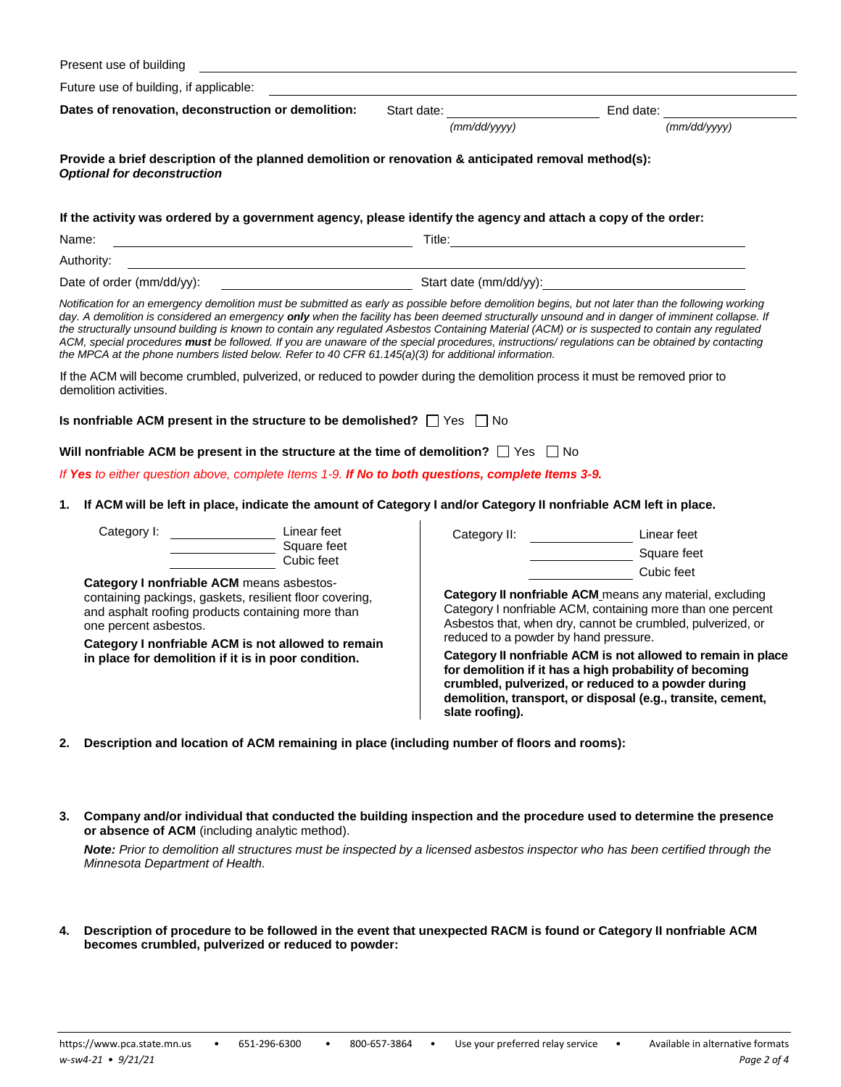|          | Present use of building                                                                                                                                                                                                                                                                                                                                                                                                                                                                                                                                                                                                                                                                                             |             |                                                          |                                                                                                                                                                                                                                                                                                                                                                                                                                                       |
|----------|---------------------------------------------------------------------------------------------------------------------------------------------------------------------------------------------------------------------------------------------------------------------------------------------------------------------------------------------------------------------------------------------------------------------------------------------------------------------------------------------------------------------------------------------------------------------------------------------------------------------------------------------------------------------------------------------------------------------|-------------|----------------------------------------------------------|-------------------------------------------------------------------------------------------------------------------------------------------------------------------------------------------------------------------------------------------------------------------------------------------------------------------------------------------------------------------------------------------------------------------------------------------------------|
|          | Future use of building, if applicable:                                                                                                                                                                                                                                                                                                                                                                                                                                                                                                                                                                                                                                                                              |             |                                                          |                                                                                                                                                                                                                                                                                                                                                                                                                                                       |
|          | Dates of renovation, deconstruction or demolition:                                                                                                                                                                                                                                                                                                                                                                                                                                                                                                                                                                                                                                                                  | Start date: | (mm/dd/yyyy)                                             | (mm/dd/vvvv)                                                                                                                                                                                                                                                                                                                                                                                                                                          |
|          | Provide a brief description of the planned demolition or renovation & anticipated removal method(s):<br><b>Optional for deconstruction</b>                                                                                                                                                                                                                                                                                                                                                                                                                                                                                                                                                                          |             |                                                          |                                                                                                                                                                                                                                                                                                                                                                                                                                                       |
|          | If the activity was ordered by a government agency, please identify the agency and attach a copy of the order:<br><u> 1980 - Johann Barn, fransk politik (d. 1980)</u><br>Name:                                                                                                                                                                                                                                                                                                                                                                                                                                                                                                                                     |             |                                                          |                                                                                                                                                                                                                                                                                                                                                                                                                                                       |
|          | Authority:<br><u> 1980 - Jan Samuel Barbara, poeta esperanto-poeta esperanto-poeta esperanto-poeta esperanto-poeta esperanto-po</u>                                                                                                                                                                                                                                                                                                                                                                                                                                                                                                                                                                                 |             |                                                          |                                                                                                                                                                                                                                                                                                                                                                                                                                                       |
|          | Date of order $(mm/dd/yy)$ :                                                                                                                                                                                                                                                                                                                                                                                                                                                                                                                                                                                                                                                                                        |             |                                                          | Start date (mm/dd/yy):                                                                                                                                                                                                                                                                                                                                                                                                                                |
|          | Notification for an emergency demolition must be submitted as early as possible before demolition begins, but not later than the following working<br>day. A demolition is considered an emergency only when the facility has been deemed structurally unsound and in danger of imminent collapse. If<br>the structurally unsound building is known to contain any regulated Asbestos Containing Material (ACM) or is suspected to contain any regulated<br>ACM, special procedures must be followed. If you are unaware of the special procedures, instructions/ regulations can be obtained by contacting<br>the MPCA at the phone numbers listed below. Refer to 40 CFR 61.145(a)(3) for additional information. |             |                                                          |                                                                                                                                                                                                                                                                                                                                                                                                                                                       |
|          | If the ACM will become crumbled, pulverized, or reduced to powder during the demolition process it must be removed prior to<br>demolition activities.                                                                                                                                                                                                                                                                                                                                                                                                                                                                                                                                                               |             |                                                          |                                                                                                                                                                                                                                                                                                                                                                                                                                                       |
|          | Is nonfriable ACM present in the structure to be demolished? $\Box$ Yes $\Box$ No                                                                                                                                                                                                                                                                                                                                                                                                                                                                                                                                                                                                                                   |             |                                                          |                                                                                                                                                                                                                                                                                                                                                                                                                                                       |
|          | Will nonfriable ACM be present in the structure at the time of demolition? $\Box$ Yes $\Box$ No                                                                                                                                                                                                                                                                                                                                                                                                                                                                                                                                                                                                                     |             |                                                          |                                                                                                                                                                                                                                                                                                                                                                                                                                                       |
|          | If Yes to either question above, complete Items 1-9. If No to both questions, complete Items 3-9.                                                                                                                                                                                                                                                                                                                                                                                                                                                                                                                                                                                                                   |             |                                                          |                                                                                                                                                                                                                                                                                                                                                                                                                                                       |
| 1.       | If ACM will be left in place, indicate the amount of Category I and/or Category II nonfriable ACM left in place.                                                                                                                                                                                                                                                                                                                                                                                                                                                                                                                                                                                                    |             |                                                          |                                                                                                                                                                                                                                                                                                                                                                                                                                                       |
|          | Linear feet<br>Category I:<br>Square feet<br>Cubic feet                                                                                                                                                                                                                                                                                                                                                                                                                                                                                                                                                                                                                                                             |             | Category II:                                             | Linear feet<br>Square feet                                                                                                                                                                                                                                                                                                                                                                                                                            |
|          | Category I nonfriable ACM means asbestos-<br>containing packings, gaskets, resilient floor covering,<br>and asphalt roofing products containing more than<br>one percent asbestos.<br>Category I nonfriable ACM is not allowed to remain<br>in place for demolition if it is in poor condition.                                                                                                                                                                                                                                                                                                                                                                                                                     |             | reduced to a powder by hand pressure.<br>slate roofing). | Cubic feet<br>Category II nonfriable ACM means any material, excluding<br>Category I nonfriable ACM, containing more than one percent<br>Asbestos that, when dry, cannot be crumbled, pulverized, or<br>Category II nonfriable ACM is not allowed to remain in place<br>for demolition if it has a high probability of becoming<br>crumbled, pulverized, or reduced to a powder during<br>demolition, transport, or disposal (e.g., transite, cement, |
| 2.<br>3. | Description and location of ACM remaining in place (including number of floors and rooms):<br>Company and/or individual that conducted the building inspection and the procedure used to determine the presence<br>or absence of ACM (including analytic method).                                                                                                                                                                                                                                                                                                                                                                                                                                                   |             |                                                          |                                                                                                                                                                                                                                                                                                                                                                                                                                                       |
|          | Note: Prior to demolition all structures must be inspected by a licensed asbestos inspector who has been certified through the<br>Minnesota Department of Health.                                                                                                                                                                                                                                                                                                                                                                                                                                                                                                                                                   |             |                                                          |                                                                                                                                                                                                                                                                                                                                                                                                                                                       |

**4. Description of procedure to be followed in the event that unexpected RACM is found or Category II nonfriable ACM becomes crumbled, pulverized or reduced to powder:**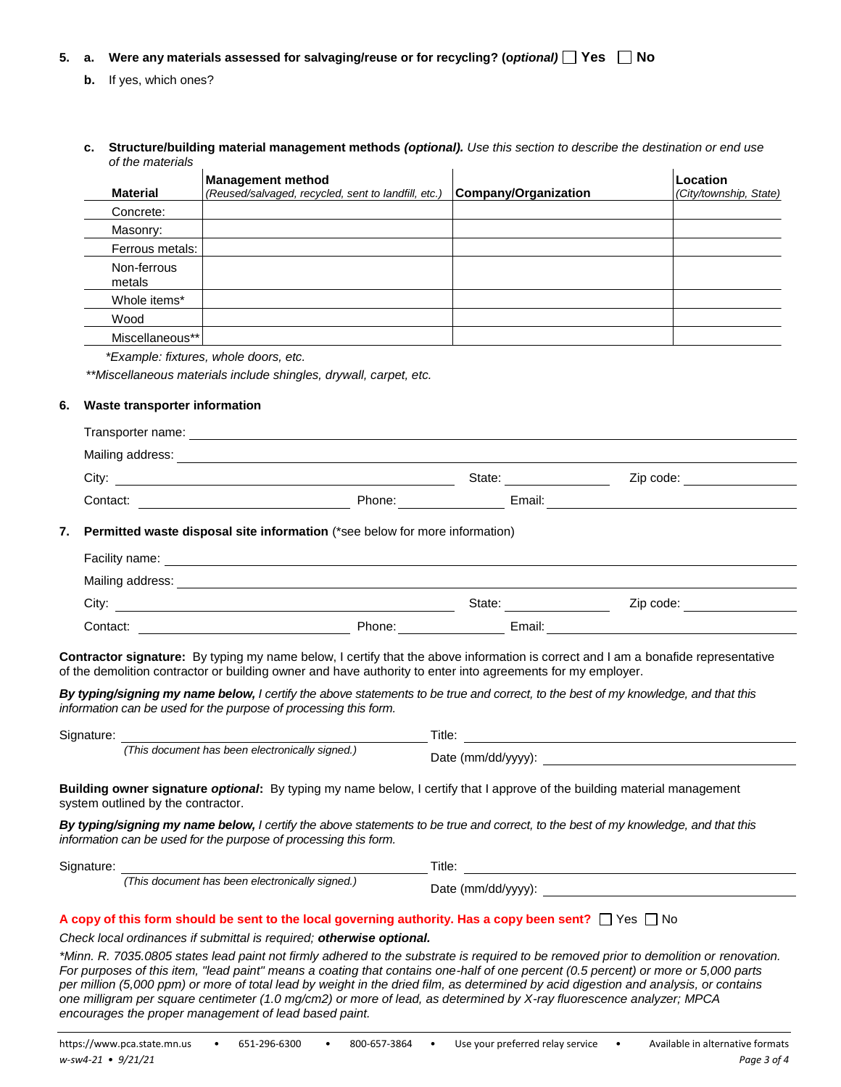#### **5. a. Were any materials assessed for salvaging/reuse or for recycling? (o***ptional)* **Yes No**

- **b.** If yes, which ones?
- **c. Structure/building material management methods** *(optional). Use this section to describe the destination or end use of the materials*

| <b>Material</b>       | <b>Management method</b><br>(Reused/salvaged, recycled, sent to landfill, etc.) | <b>Company/Organization</b> | Location<br>(City/township, State) |
|-----------------------|---------------------------------------------------------------------------------|-----------------------------|------------------------------------|
| Concrete:             |                                                                                 |                             |                                    |
| Masonry:              |                                                                                 |                             |                                    |
| Ferrous metals:       |                                                                                 |                             |                                    |
| Non-ferrous<br>metals |                                                                                 |                             |                                    |
| Whole items*          |                                                                                 |                             |                                    |
| Wood                  |                                                                                 |                             |                                    |
| Miscellaneous**       |                                                                                 |                             |                                    |

*\*Example: fixtures, whole doors, etc.* 

*\*\*Miscellaneous materials include shingles, drywall, carpet, etc.*

#### **6. Waste transporter information**

| Transporter name: |        |        |           |  |
|-------------------|--------|--------|-----------|--|
| Mailing address:  |        |        |           |  |
| City:             |        | State: | Zip code: |  |
| Contact:          | Phone: | Email: |           |  |
|                   |        |        |           |  |

#### **7. Permitted waste disposal site information** (\*see below for more information)

| Facility name:   |        |        |           |  |
|------------------|--------|--------|-----------|--|
| Mailing address: |        |        |           |  |
| City:            |        | State: | Zip code: |  |
| Contact:         | Phone: | Email: |           |  |

**Contractor signature:** By typing my name below, I certify that the above information is correct and I am a bonafide representative of the demolition contractor or building owner and have authority to enter into agreements for my employer.

*By typing/signing my name below, I certify the above statements to be true and correct, to the best of my knowledge, and that this information can be used for the purpose of processing this form.*

| Signature: |                                                 | Title:                                                                                                                   |  |
|------------|-------------------------------------------------|--------------------------------------------------------------------------------------------------------------------------|--|
|            | (This document has been electronically signed.) | Date $(mm/dd/vv/v)$ :                                                                                                    |  |
|            | system outlined by the contractor.              | Building owner signature optional: By typing my name below, I certify that I approve of the building material management |  |

*By typing/signing my name below, I certify the above statements to be true and correct, to the best of my knowledge, and that this information can be used for the purpose of processing this form.*

| Signature: |                                                 | Title.                |
|------------|-------------------------------------------------|-----------------------|
|            | (This document has been electronically signed.) | Date $(mm/dd/yyyy)$ : |

#### A copy of this form should be sent to the local governing authority. Has a copy been sent?  $\Box$  Yes  $\Box$  No

*Check local ordinances if submittal is required; otherwise optional.*

*\*Minn. R. 7035.0805 states lead paint not firmly adhered to the substrate is required to be removed prior to demolition or renovation. For purposes of this item, "lead paint" means a coating that contains one-half of one percent (0.5 percent) or more or 5,000 parts per million (5,000 ppm) or more of total lead by weight in the dried film, as determined by acid digestion and analysis, or contains one milligram per square centimeter (1.0 mg/cm2) or more of lead, as determined by X-ray fluorescence analyzer; MPCA encourages the proper management of lead based paint.*